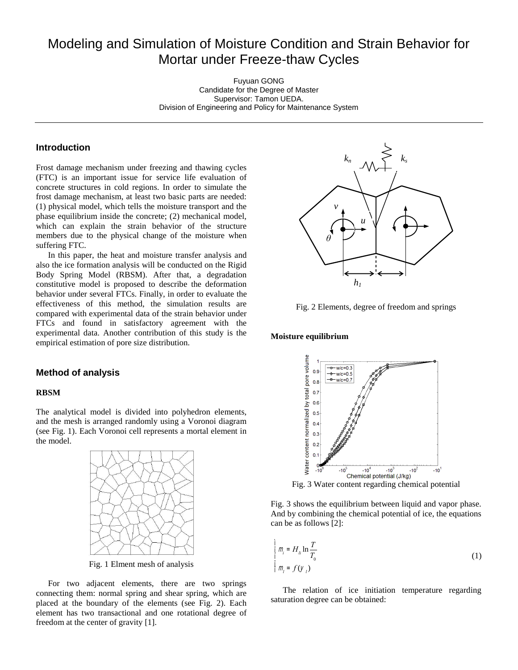# Modeling and Simulation of Moisture Condition and Strain Behavior for Mortar under Freeze-thaw Cycles

Fuyuan GONG Candidate for the Degree of Master Supervisor: Tamon UEDA. Division of Engineering and Policy for Maintenance System

# **Introduction**

Frost damage mechanism under freezing and thawing cycles (FTC) is an important issue for service life evaluation of concrete structures in cold regions. In order to simulate the frost damage mechanism, at least two basic parts are needed: (1) physical model, which tells the moisture transport and the phase equilibrium inside the concrete; (2) mechanical model, which can explain the strain behavior of the structure members due to the physical change of the moisture when suffering FTC.

In this paper, the heat and moisture transfer analysis and also the ice formation analysis will be conducted on the Rigid Body Spring Model (RBSM). After that, a degradation constitutive model is proposed to describe the deformation behavior under several FTCs. Finally, in order to evaluate the effectiveness of this method, the simulation results are compared with experimental data of the strain behavior under FTCs and found in satisfactory agreement with the experimental data. Another contribution of this study is the empirical estimation of pore size distribution.

# **Method of analysis**

#### **RBSM**

The analytical model is divided into polyhedron elements, and the mesh is arranged randomly using a Voronoi diagram (see Fig. 1). Each Voronoi cell represents a mortal element in the model.



Fig. 1 Elment mesh of analysis

For two adjacent elements, there are two springs connecting them: normal spring and shear spring, which are placed at the boundary of the elements (see Fig. 2). Each element has two transactional and one rotational degree of freedom at the center of gravity [1].



Fig. 2 Elements, degree of freedom and springs

#### **Moisture equilibrium**



Fig. 3 Water content regarding chemical potential

Fig. 3 shows the equilibrium between liquid and vapor phase. And by combining the chemical potential of ice, the equations can be as follows [2]:

$$
\prod_{i=1}^{n} m_i = H_{ii} \ln \frac{T}{T_0}
$$
\n
$$
\prod_{i=1}^{n} m_i = f(\mathcal{Y}_i)
$$
\n(1)

The relation of ice initiation temperature regarding saturation degree can be obtained: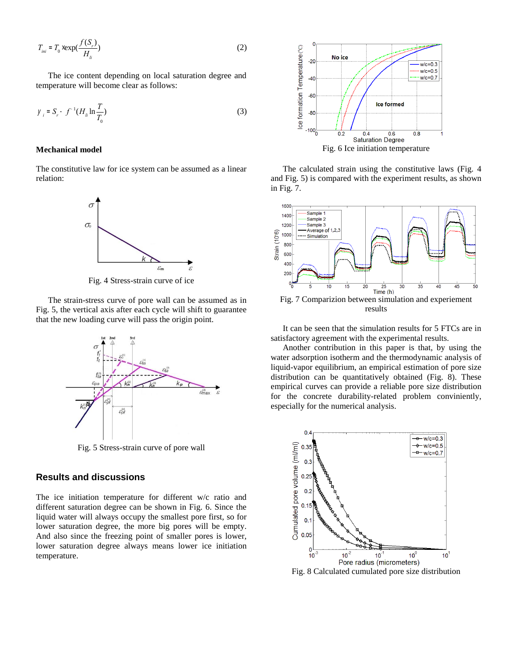$$
T_{\text{ini}} = T_0 \times \exp(\frac{f(S_r)}{H_{\text{li}}})
$$
\n(2)

The ice content depending on local saturation degree and temperature will become clear as follows:

$$
y_i = S_r - f^{-1}(H_{li} \ln \frac{T}{T_0})
$$
\n(3)

#### **Mechanical model**

The constitutive law for ice system can be assumed as a linear relation:



Fig. 4 Stress-strain curve of ice

The strain-stress curve of pore wall can be assumed as in Fig. 5, the vertical axis after each cycle will shift to guarantee that the new loading curve will pass the origin point.



Fig. 5 Stress-strain curve of pore wall

# **Results and discussions**

The ice initiation temperature for different w/c ratio and different saturation degree can be shown in Fig. 6. Since the liquid water will always occupy the smallest pore first, so for lower saturation degree, the more big pores will be empty. And also since the freezing point of smaller pores is lower, lower saturation degree always means lower ice initiation temperature.



The calculated strain using the constitutive laws (Fig. 4 and Fig. 5) is compared with the experiment results, as shown in Fig. 7.



Fig. 7 Comparizion between simulation and experiement results

It can be seen that the simulation results for 5 FTCs are in satisfactory agreement with the experimental results.

Another contribution in this paper is that, by using the water adsorption isotherm and the thermodynamic analysis of liquid-vapor equilibrium, an empirical estimation of pore size distribution can be quantitatively obtained (Fig. 8). These empirical curves can provide a reliable pore size distribution for the concrete durability-related problem conviniently, especially for the numerical analysis.



Fig. 8 Calculated cumulated pore size distribution